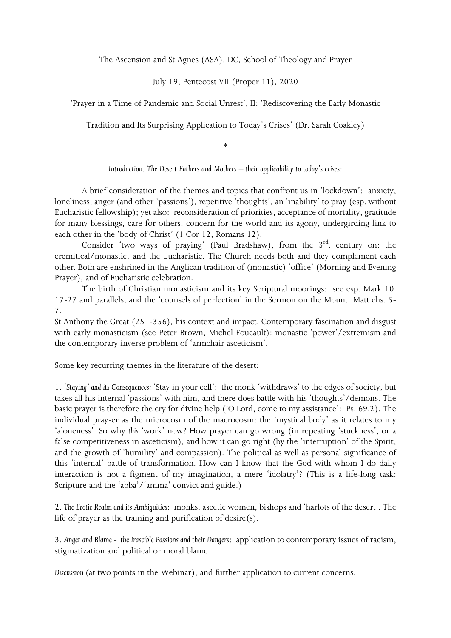The Ascension and St Agnes (ASA), DC, School of Theology and Prayer

July 19, Pentecost VII (Proper 11), 2020

'Prayer in a Time of Pandemic and Social Unrest', II: 'Rediscovering the Early Monastic

Tradition and Its Surprising Application to Today's Crises' (Dr. Sarah Coakley)

\*

*Introduction: The Desert Fathers and Mothers – their applicability to today's crises*:

A brief consideration of the themes and topics that confront us in 'lockdown': anxiety, loneliness, anger (and other 'passions'), repetitive 'thoughts', an 'inability' to pray (esp. without Eucharistic fellowship); yet also: reconsideration of priorities, acceptance of mortality, gratitude for many blessings, care for others, concern for the world and its agony, undergirding link to each other in the 'body of Christ' (1 Cor 12, Romans 12).

Consider 'two ways of praying' (Paul Bradshaw), from the  $3<sup>rd</sup>$  century on: the eremitical/monastic, and the Eucharistic. The Church needs both and they complement each other. Both are enshrined in the Anglican tradition of (monastic) 'office' (Morning and Evening Prayer), and of Eucharistic celebration.

The birth of Christian monasticism and its key Scriptural moorings: see esp. Mark 10. 17-27 and parallels; and the 'counsels of perfection' in the Sermon on the Mount: Matt chs. 5- 7.

St Anthony the Great (251-356), his context and impact. Contemporary fascination and disgust with early monasticism (see Peter Brown, Michel Foucault): monastic 'power'/extremism and the contemporary inverse problem of 'armchair asceticism'.

Some key recurring themes in the literature of the desert:

1. '*Staying' and its Consequences:* 'Stay in your cell': the monk 'withdraws' to the edges of society, but takes all his internal 'passions' with him, and there does battle with his 'thoughts'/demons. The basic prayer is therefore the cry for divine help ('O Lord, come to my assistance': Ps. 69.2). The individual pray-er as the microcosm of the macrocosm: the 'mystical body' as it relates to my 'aloneness'. So why *this* 'work' now? How prayer can go wrong (in repeating 'stuckness', or a false competitiveness in asceticism), and how it can go right (by the 'interruption' of the Spirit, and the growth of 'humility' and compassion). The political as well as personal significance of this 'internal' battle of transformation. How can I know that the God with whom I do daily interaction is not a figment of my imagination, a mere 'idolatry'? (This is a life-long task: Scripture and the 'abba'/'amma' convict and guide.)

2. *The Erotic Realm and its Ambiguities*: monks, ascetic women, bishops and 'harlots of the desert'. The life of prayer as the training and purification of desire(s).

3. *Anger and Blame - the Irascible Passions and their Dangers*: application to contemporary issues of racism, stigmatization and political or moral blame.

*Discussion (*at two points in the Webinar), and further application to current concerns.